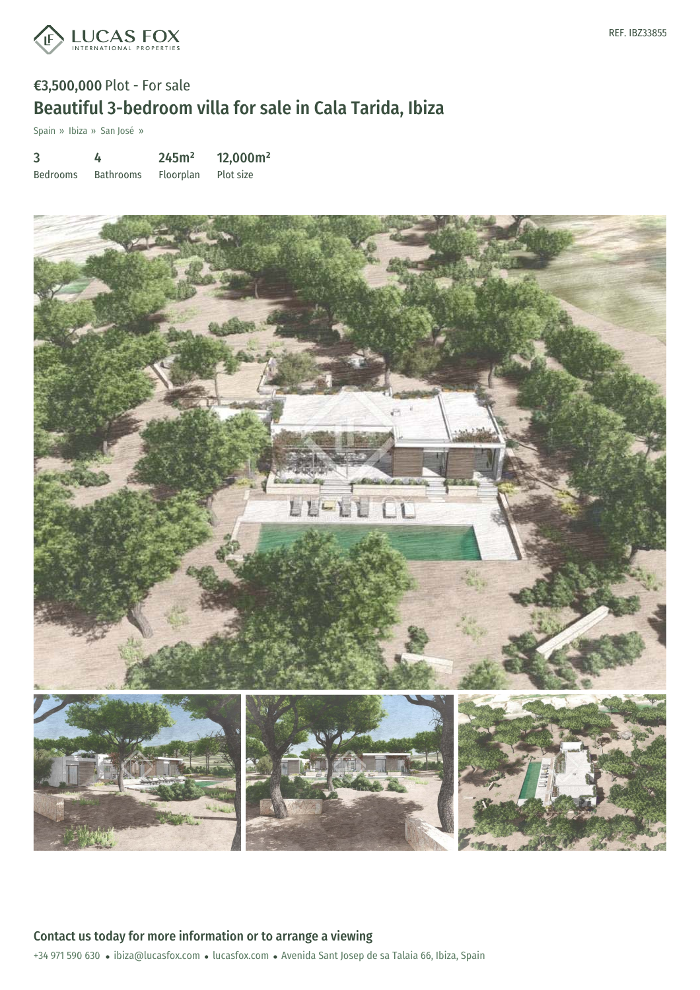

# €3,500,000 Plot - For sale Beautiful 3-bedroom villa for sale in Cala Tarida, Ibiza

Spain » Ibiza » San José »

| 3               | 4                | 245m <sup>2</sup> | 12,000m <sup>2</sup> |
|-----------------|------------------|-------------------|----------------------|
| <b>Bedrooms</b> | <b>Bathrooms</b> | Floorplan         | Plot size            |

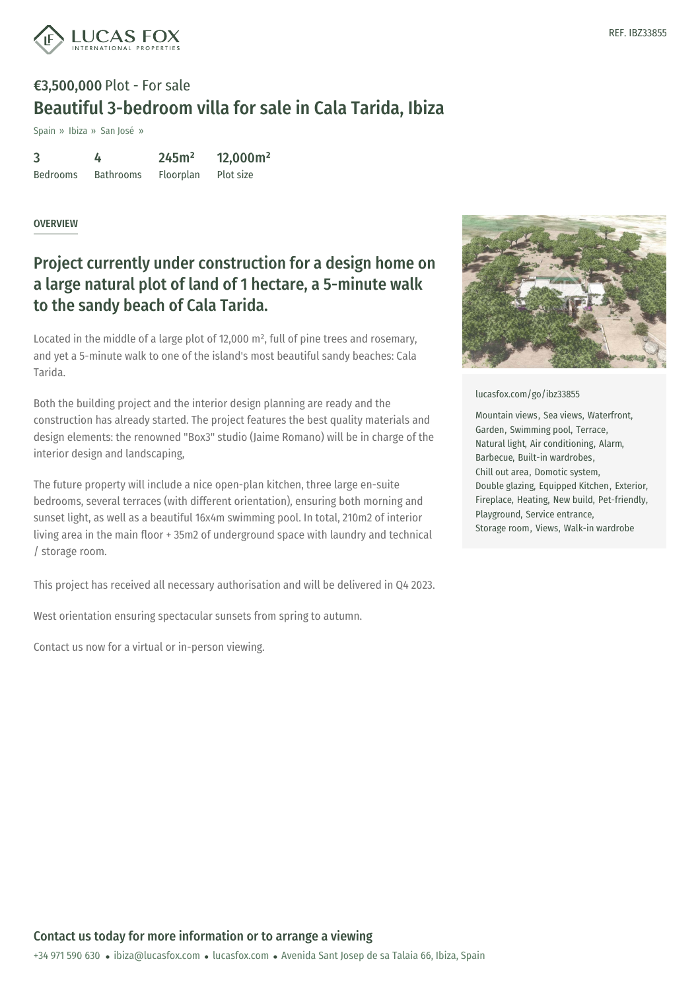

# €3,500,000 Plot - For sale Beautiful 3-bedroom villa for sale in Cala Tarida, Ibiza

Spain » Ibiza » San José »

| 3               |                  | 245m <sup>2</sup> | 12,000m <sup>2</sup> |
|-----------------|------------------|-------------------|----------------------|
| <b>Bedrooms</b> | <b>Bathrooms</b> | Floorplan         | Plot size            |

#### OVERVIEW

### Project currently under construction for a design home on a large natural plot of land of 1 hectare, a 5-minute walk to the sandy beach of Cala Tarida.

Located in the middle of a large plot of 12,000 m², full of pine trees and rosemary, and yet a 5-minute walk to one of the island's most beautiful sandy beaches: Cala Tarida.

Both the building project and the interior design planning are ready and the construction has already started. The project features the best quality materials and design elements: the renowned "Box3" studio (Jaime Romano) will be in charge of the interior design and landscaping,

The future property will include a nice open-plan kitchen, three large en-suite bedrooms, several terraces (with different orientation), ensuring both morning and sunset light, as well as a beautiful 16x4m swimming pool. In total, 210m2 of interior living area in the main floor + 35m2 of underground space with laundry and technical / storage room.

This project has received all necessary authorisation and will be delivered in Q4 2023.

West orientation ensuring spectacular sunsets from spring to autumn.

Contact us now for a virtual or in-person viewing.



[lucasfox.com/go/ibz33855](https://www.lucasfox.com/go/ibz33855)

Mountain views, Sea views, Waterfront, Garden, Swimming pool, Terrace, Natural light, Air conditioning, Alarm, Barbecue, Built-in wardrobes, Chill out area, Domotic system, Double glazing, Equipped Kitchen, Exterior, Fireplace, Heating, New build, Pet-friendly, Playground, Service entrance, Storage room, Views, Walk-in wardrobe